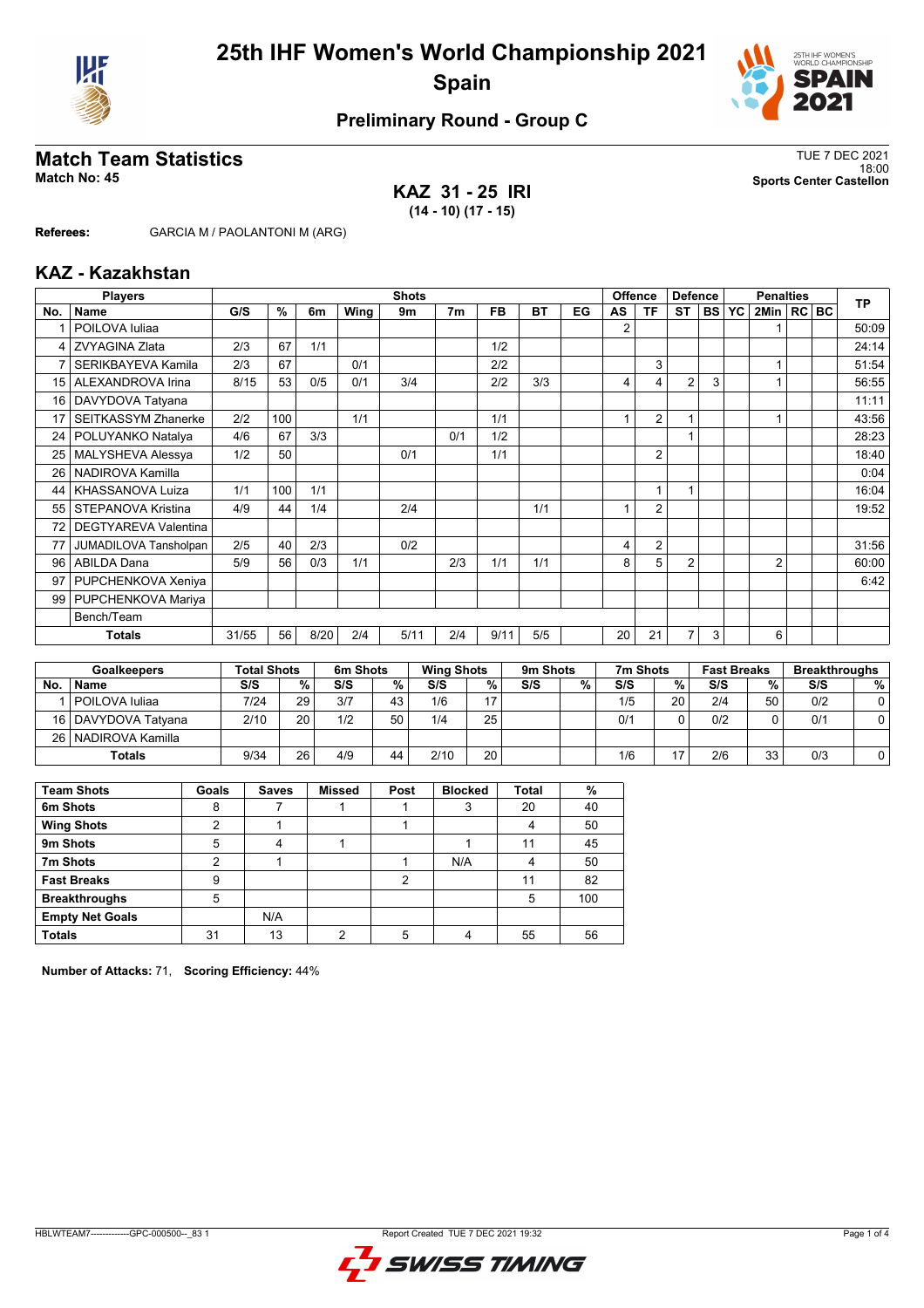



### **Preliminary Round - Group C**

## **Match Team Statistics** TUE 7 DEC 2021

**KAZ 31 - 25 IRI (14 - 10) (17 - 15)**

18:00 **Match No: 45 Sports Center Castellon**

**Referees:** GARCIA M / PAOLANTONI M (ARG)

#### **KAZ - Kazakhstan**

|                 | <b>Players</b>              | <b>Shots</b> |     |      |      |      |                |           |           |    | <b>Offence</b><br><b>Defence</b> |                |                | <b>Penalties</b> |           |                |  | <b>TP</b> |       |
|-----------------|-----------------------------|--------------|-----|------|------|------|----------------|-----------|-----------|----|----------------------------------|----------------|----------------|------------------|-----------|----------------|--|-----------|-------|
| No.             | Name                        | G/S          | %   | 6m   | Wing | 9m   | 7 <sub>m</sub> | <b>FB</b> | <b>BT</b> | EG | AS                               | <b>TF</b>      | <b>ST</b>      | <b>BS</b>        | <b>YC</b> | 2Min   RC BC   |  |           |       |
|                 | POILOVA Iuliaa              |              |     |      |      |      |                |           |           |    | 2                                |                |                |                  |           |                |  |           | 50:09 |
| 4               | <b>ZVYAGINA Zlata</b>       | 2/3          | 67  | 1/1  |      |      |                | 1/2       |           |    |                                  |                |                |                  |           |                |  |           | 24:14 |
| 7               | SERIKBAYEVA Kamila          | 2/3          | 67  |      | 0/1  |      |                | 2/2       |           |    |                                  | 3              |                |                  |           |                |  |           | 51:54 |
| 15              | ALEXANDROVA Irina           | 8/15         | 53  | 0/5  | 0/1  | 3/4  |                | 2/2       | 3/3       |    | 4                                | 4              | $\overline{2}$ | 3                |           |                |  |           | 56:55 |
| 16              | DAVYDOVA Tatyana            |              |     |      |      |      |                |           |           |    |                                  |                |                |                  |           |                |  |           | 11:11 |
| 17              | <b>SEITKASSYM Zhanerke</b>  | 2/2          | 100 |      | 1/1  |      |                | 1/1       |           |    |                                  | 2              |                |                  |           |                |  |           | 43:56 |
| 24 <sup>1</sup> | POLUYANKO Natalya           | 4/6          | 67  | 3/3  |      |      | 0/1            | 1/2       |           |    |                                  |                |                |                  |           |                |  |           | 28:23 |
| 25              | MALYSHEVA Alessya           | 1/2          | 50  |      |      | 0/1  |                | 1/1       |           |    |                                  | 2              |                |                  |           |                |  |           | 18:40 |
| 26              | NADIROVA Kamilla            |              |     |      |      |      |                |           |           |    |                                  |                |                |                  |           |                |  |           | 0:04  |
| 44              | KHASSANOVA Luiza            | 1/1          | 100 | 1/1  |      |      |                |           |           |    |                                  | 1              |                |                  |           |                |  |           | 16:04 |
| 55              | STEPANOVA Kristina          | 4/9          | 44  | 1/4  |      | 2/4  |                |           | 1/1       |    |                                  | $\overline{2}$ |                |                  |           |                |  |           | 19:52 |
| 72              | <b>DEGTYAREVA Valentina</b> |              |     |      |      |      |                |           |           |    |                                  |                |                |                  |           |                |  |           |       |
|                 | JUMADILOVA Tansholpan       | 2/5          | 40  | 2/3  |      | 0/2  |                |           |           |    | 4                                | 2              |                |                  |           |                |  |           | 31:56 |
| 96              | <b>ABILDA Dana</b>          | 5/9          | 56  | 0/3  | 1/1  |      | 2/3            | 1/1       | 1/1       |    | 8                                | 5              | $\overline{2}$ |                  |           | $\overline{2}$ |  |           | 60:00 |
| 97              | PUPCHENKOVA Xeniya          |              |     |      |      |      |                |           |           |    |                                  |                |                |                  |           |                |  |           | 6:42  |
| 99              | PUPCHENKOVA Mariya          |              |     |      |      |      |                |           |           |    |                                  |                |                |                  |           |                |  |           |       |
| Bench/Team      |                             |              |     |      |      |      |                |           |           |    |                                  |                |                |                  |           |                |  |           |       |
| <b>Totals</b>   |                             | 31/55        | 56  | 8/20 | 2/4  | 5/11 | 2/4            | 9/11      | 5/5       |    | 20                               | 21             | 7              | 3                |           | 6              |  |           |       |

|               | <b>Goalkeepers</b>    |      | <b>Total Shots</b> |     | 6m Shots |      | <b>Wing Shots</b> |     | 9 <sub>m</sub> Shots |     | 7m Shots |     | <b>Fast Breaks</b> | <b>Breakthroughs</b> |          |  |  |  |   |
|---------------|-----------------------|------|--------------------|-----|----------|------|-------------------|-----|----------------------|-----|----------|-----|--------------------|----------------------|----------|--|--|--|---|
| <b>No</b>     | <b>Name</b>           | S/S  | %.                 | S/S | %        | S/S  | %                 | S/S | %                    | S/S | %        |     |                    |                      | S/S<br>% |  |  |  | % |
|               | l POILOVA Iuliaa      | 7/24 | 29                 | 3/7 | 43       | 1/6  | 17                |     |                      | 1/5 | 20       | 2/4 | 50                 | 0/2                  |          |  |  |  |   |
|               | 16   DAVYDOVA Tatvana | 2/10 | 20                 | 1/2 | 50       | 1/4  | 25                |     |                      | 0/1 | 0        | 0/2 |                    | 0/1                  |          |  |  |  |   |
|               | 26   NADIROVA Kamilla |      |                    |     |          |      |                   |     |                      |     |          |     |                    |                      |          |  |  |  |   |
| <b>Totals</b> |                       | 9/34 | 26                 | 4/9 | 44       | 2/10 | 20 <sub>1</sub>   |     |                      | 1/6 | 17       | 2/6 | 33                 | 0/3                  |          |  |  |  |   |

| <b>Team Shots</b>      | Goals | <b>Saves</b> | <b>Missed</b> | Post | <b>Blocked</b> | <b>Total</b> | %   |
|------------------------|-------|--------------|---------------|------|----------------|--------------|-----|
| 6m Shots               | 8     |              |               |      | 3              | 20           | 40  |
| <b>Wing Shots</b>      | っ     |              |               |      |                | 4            | 50  |
| 9m Shots               | 5     |              |               |      |                | 11           | 45  |
| 7m Shots               | 2     |              |               |      | N/A            | 4            | 50  |
| <b>Fast Breaks</b>     | 9     |              |               | າ    |                | 11           | 82  |
| <b>Breakthroughs</b>   | 5     |              |               |      |                | 5            | 100 |
| <b>Empty Net Goals</b> |       | N/A          |               |      |                |              |     |
| <b>Totals</b>          | 31    | 13           | ∩             |      |                | 55           | 56  |

**Number of Attacks:** 71, **Scoring Efficiency:** 44%

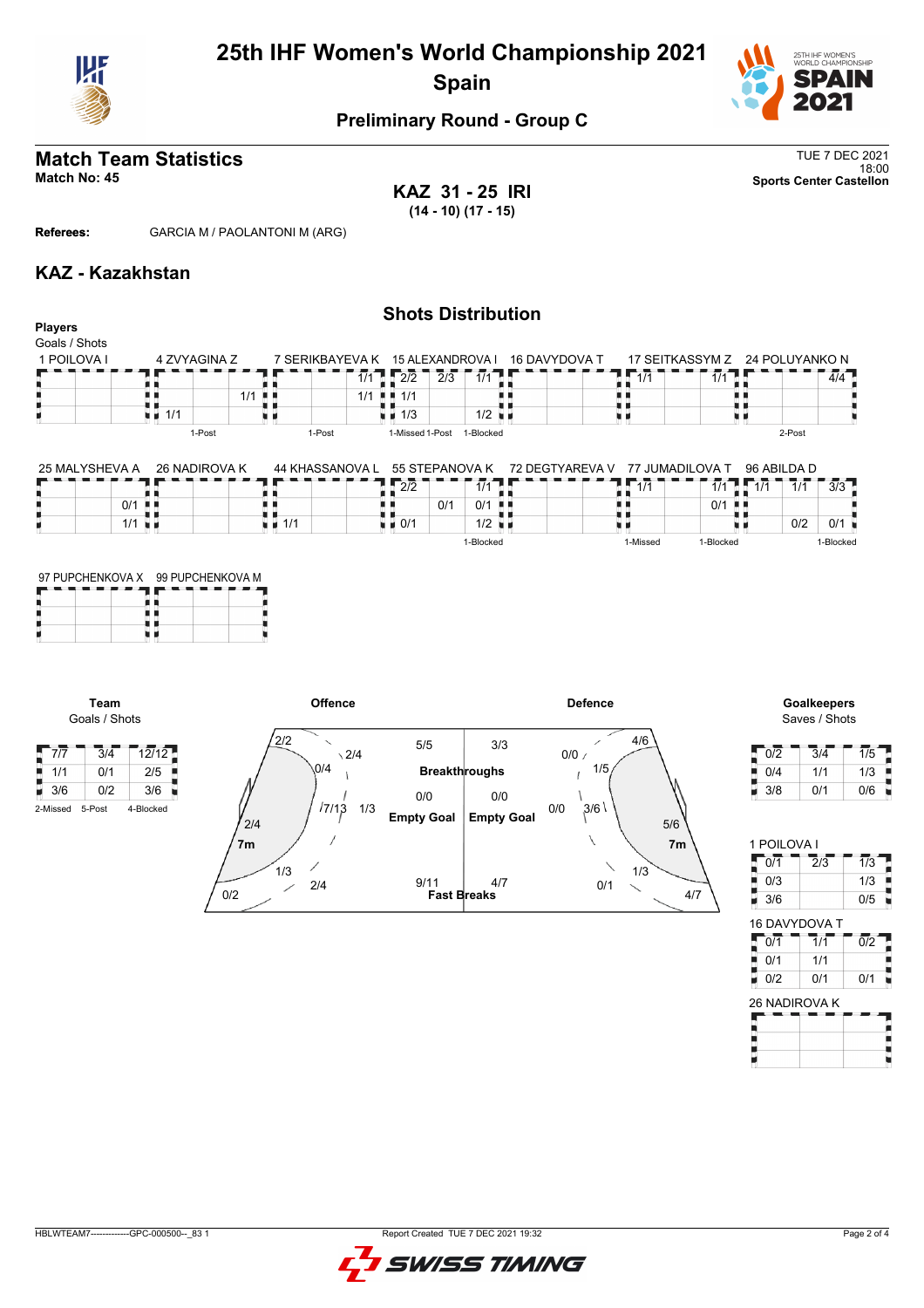

## **25th IHF Women's World Championship 2021 Spain**



### **Preliminary Round - Group C**

## **Match Team Statistics** TUE 7 DEC 2021

18:00 **Match No: 45 Sports Center Castellon**

**Players**

**KAZ 31 - 25 IRI (14 - 10) (17 - 15)**

**Referees:** GARCIA M / PAOLANTONI M (ARG)

#### **KAZ - Kazakhstan**

#### **Shots Distribution**

| Goals / Shots |                      |                                  |                                   |               |            |                                |
|---------------|----------------------|----------------------------------|-----------------------------------|---------------|------------|--------------------------------|
| 1 POILOVA I   | 4 ZVYAGINA Z         | 7 SERIKBAYEVA K 15 ALEXANDROVA I |                                   | 16 DAVYDOVA T |            | 17 SEITKASSYM Z 24 POLUYANKO N |
|               |                      | 1/1                              | 2/2<br>2/3                        | 1/1           | 1/1<br>1/1 | 4/4                            |
|               | $1/1$ $\blacksquare$ | 1/1                              | $\blacksquare$ $\blacksquare$ 1/1 |               |            |                                |
|               | 1/1                  |                                  | $\blacksquare$ 1/3                | 1/2           |            |                                |
|               | 1-Post               | 1-Post                           | 1-Missed 1-Post                   | 1-Blocked     |            | 2-Post                         |

| 26 NADIROVA K<br>25 MALYSHEVA A | 44 KHASSANOVA L | 55 STEPANOVA K                             | <b>72 DEGTYAREVA V</b> | ' JUMADII OVA T | 96 ABILDA D                  |  |  |  |
|---------------------------------|-----------------|--------------------------------------------|------------------------|-----------------|------------------------------|--|--|--|
|                                 |                 | $\sim$<br><i>A 1 A</i><br>212              |                        | <i>A 1 A</i>    | 3/3<br>1/1<br>$\overline{A}$ |  |  |  |
| 0/1                             |                 | 0/1                                        | - 8 8                  | 0/1             |                              |  |  |  |
| 1/1                             | 1/1             | $1/2$ $\blacksquare$<br>$\blacksquare$ 0/1 |                        |                 | 0/2                          |  |  |  |

1-Blocked

| 97 PUPCHENKOVA X 99 PUPCHENKOVA M |  |  |  |  |  |  |  |  |
|-----------------------------------|--|--|--|--|--|--|--|--|
|                                   |  |  |  |  |  |  |  |  |

**Team** Goals / Shots



# Saves / Shots

1-Blocked

1-Missed 1-Blocked

| 0/2 | 3/4 | 1/5 |
|-----|-----|-----|
| 0/4 | 1/1 | 1/3 |
| 3/8 | 0/1 | 0/6 |

| 1 POILOVA I          |                  |     |
|----------------------|------------------|-----|
| 0/1                  | $\overline{2}/3$ | 1/3 |
| 0/3                  |                  | 1/3 |
| 3/6                  |                  | 0/5 |
| <b>16 DAVYDOVA T</b> |                  |     |
|                      |                  |     |

| 0/1                    | __________<br>1/1 | 0/2 |
|------------------------|-------------------|-----|
| 0/1                    | 1/1               |     |
| 0/2                    | 0/1               | 0/1 |
| <b>26 NIADIDOVIA K</b> |                   |     |

| 26 NADIROVA K |  |  |  |  |  |  |  |  |  |  |  |  |
|---------------|--|--|--|--|--|--|--|--|--|--|--|--|
|               |  |  |  |  |  |  |  |  |  |  |  |  |
|               |  |  |  |  |  |  |  |  |  |  |  |  |
|               |  |  |  |  |  |  |  |  |  |  |  |  |
|               |  |  |  |  |  |  |  |  |  |  |  |  |
|               |  |  |  |  |  |  |  |  |  |  |  |  |

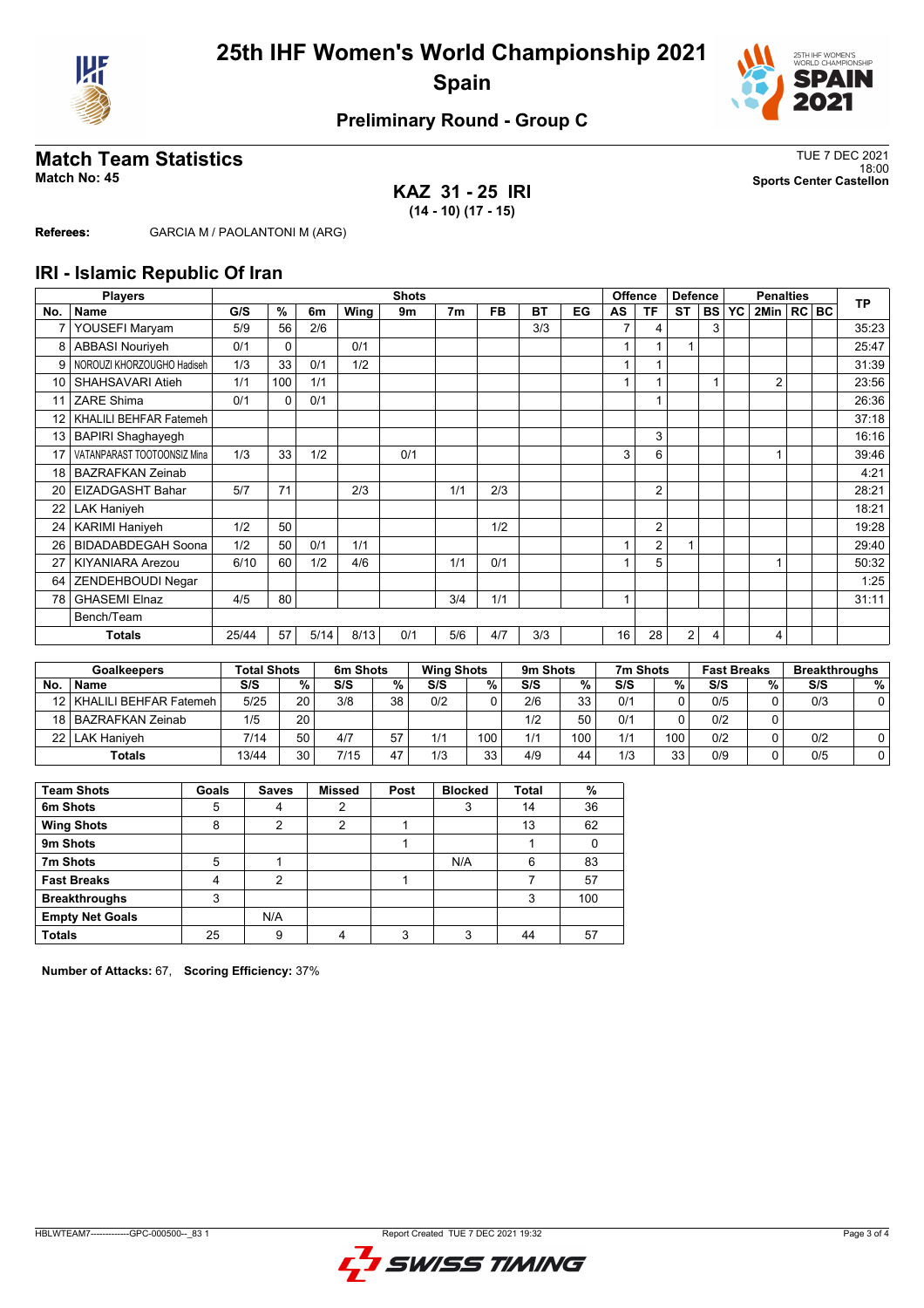



### **Preliminary Round - Group C**

## **Match Team Statistics** TUE 7 DEC 2021

**KAZ 31 - 25 IRI (14 - 10) (17 - 15)**

18:00 **Match No: 45 Sports Center Castellon**

**Referees:** GARCIA M / PAOLANTONI M (ARG)

#### **IRI - Islamic Republic Of Iran**

|                 | <b>Players</b>              | <b>Shots</b> |             |      |      |     |                |           |           |    |    | <b>Offence</b><br><b>Defence</b> |                |           | <b>Penalties</b> |              |  |  | <b>TP</b> |
|-----------------|-----------------------------|--------------|-------------|------|------|-----|----------------|-----------|-----------|----|----|----------------------------------|----------------|-----------|------------------|--------------|--|--|-----------|
| No.             | <b>Name</b>                 | G/S          | %           | 6m   | Wing | 9m  | 7 <sub>m</sub> | <b>FB</b> | <b>BT</b> | EG | AS | ΤF                               | <b>ST</b>      | <b>BS</b> | <b>YC</b>        | 2Min   RC BC |  |  |           |
| $\overline{7}$  | YOUSEFI Maryam              | 5/9          | 56          | 2/6  |      |     |                |           | 3/3       |    | 7  | 4                                |                | 3         |                  |              |  |  | 35:23     |
| 8               | <b>ABBASI Nouriyeh</b>      | 0/1          | $\mathbf 0$ |      | 0/1  |     |                |           |           |    |    |                                  |                |           |                  |              |  |  | 25:47     |
| 9               | NOROUZI KHORZOUGHO Hadiseh  | 1/3          | 33          | 0/1  | 1/2  |     |                |           |           |    |    |                                  |                |           |                  |              |  |  | 31:39     |
| 10 <sup>1</sup> | SHAHSAVARI Atieh            | 1/1          | 100         | 1/1  |      |     |                |           |           |    | 1  |                                  |                |           |                  | 2            |  |  | 23:56     |
| 11              | <b>ZARE Shima</b>           | 0/1          | $\Omega$    | 0/1  |      |     |                |           |           |    |    |                                  |                |           |                  |              |  |  | 26:36     |
| 12 <sup>2</sup> | KHALILI BEHFAR Fatemeh      |              |             |      |      |     |                |           |           |    |    |                                  |                |           |                  |              |  |  | 37:18     |
| 13              | <b>BAPIRI Shaghayegh</b>    |              |             |      |      |     |                |           |           |    |    | 3                                |                |           |                  |              |  |  | 16:16     |
| 17              | VATANPARAST TOOTOONSIZ Mina | 1/3          | 33          | 1/2  |      | 0/1 |                |           |           |    | 3  | 6                                |                |           |                  |              |  |  | 39:46     |
| 18              | <b>BAZRAFKAN Zeinab</b>     |              |             |      |      |     |                |           |           |    |    |                                  |                |           |                  |              |  |  | 4:21      |
| 20              | <b>EIZADGASHT Bahar</b>     | 5/7          | 71          |      | 2/3  |     | 1/1            | 2/3       |           |    |    | $\overline{2}$                   |                |           |                  |              |  |  | 28:21     |
| 22              | <b>LAK Haniyeh</b>          |              |             |      |      |     |                |           |           |    |    |                                  |                |           |                  |              |  |  | 18:21     |
| 24              | <b>KARIMI Haniyeh</b>       | 1/2          | 50          |      |      |     |                | 1/2       |           |    |    | 2                                |                |           |                  |              |  |  | 19:28     |
| 26              | <b>BIDADABDEGAH Soona</b>   | 1/2          | 50          | 0/1  | 1/1  |     |                |           |           |    |    | $\overline{2}$                   |                |           |                  |              |  |  | 29:40     |
| 27              | <b>KIYANIARA Arezou</b>     | 6/10         | 60          | 1/2  | 4/6  |     | 1/1            | 0/1       |           |    |    | 5                                |                |           |                  |              |  |  | 50:32     |
| 64              | ZENDEHBOUDI Negar           |              |             |      |      |     |                |           |           |    |    |                                  |                |           |                  |              |  |  | 1:25      |
| 78              | <b>GHASEMI Elnaz</b>        | 4/5          | 80          |      |      |     | 3/4            | 1/1       |           |    |    |                                  |                |           |                  |              |  |  | 31:11     |
| Bench/Team      |                             |              |             |      |      |     |                |           |           |    |    |                                  |                |           |                  |              |  |  |           |
|                 | <b>Totals</b>               | 25/44        | 57          | 5/14 | 8/13 | 0/1 | 5/6            | 4/7       | 3/3       |    | 16 | 28                               | $\overline{2}$ | 4         |                  | 4            |  |  |           |

|                  | <b>Goalkeepers</b>          |       | <b>Total Shots</b> |      | 6m Shots |     | <b>Wing Shots</b> |     | 9m Shots |     | 7m Shots |     | <b>Fast Breaks</b> | <b>Breakthroughs</b> |   |     |   |
|------------------|-----------------------------|-------|--------------------|------|----------|-----|-------------------|-----|----------|-----|----------|-----|--------------------|----------------------|---|-----|---|
| <b>No</b>        | <b>Name</b>                 | S/S   | %                  | S/S  | %        | S/S | %                 | S/S | %        | S/S | %        |     |                    |                      | % | S/S | % |
|                  | 12   KHALILI BEHFAR Fatemeh | 5/25  | 20                 | 3/8  | 38       | 0/2 |                   | 2/6 | 33       | 0/1 |          | 0/5 |                    | 0/3                  |   |     |   |
|                  | 18 BAZRAFKAN Zeinab         | 1/5   | 20                 |      |          |     |                   | 1/2 | 50       | 0/1 |          | 0/2 |                    |                      |   |     |   |
| 22   LAK Haniveh |                             | 7/14  | 50                 | 4/7  | 57       | 1/1 | 100               | 1/1 | 100      | 1/1 | 100      | 0/2 |                    | 0/2                  |   |     |   |
| <b>Totals</b>    |                             | 13/44 | 30                 | 7/15 | 47       | 1/3 | 33                | 4/9 | 44       | 1/3 | 33       | 0/9 |                    | 0/5                  |   |     |   |

| <b>Team Shots</b>      | Goals | <b>Saves</b> | <b>Missed</b> | Post | <b>Blocked</b> | <b>Total</b> | %   |
|------------------------|-------|--------------|---------------|------|----------------|--------------|-----|
| 6m Shots               | 5     | 4            | າ             |      |                | 14           | 36  |
| <b>Wing Shots</b>      | 8     | 2            | 2             |      |                | 13           | 62  |
| 9m Shots               |       |              |               |      |                |              |     |
| 7m Shots               | 5     |              |               |      | N/A            | 6            | 83  |
| <b>Fast Breaks</b>     | 4     | 2            |               |      |                |              | 57  |
| <b>Breakthroughs</b>   | 3     |              |               |      |                | 3            | 100 |
| <b>Empty Net Goals</b> |       | N/A          |               |      |                |              |     |
| <b>Totals</b>          | 25    | 9            |               | 3    | 3              | 44           | 57  |

**Number of Attacks:** 67, **Scoring Efficiency:** 37%